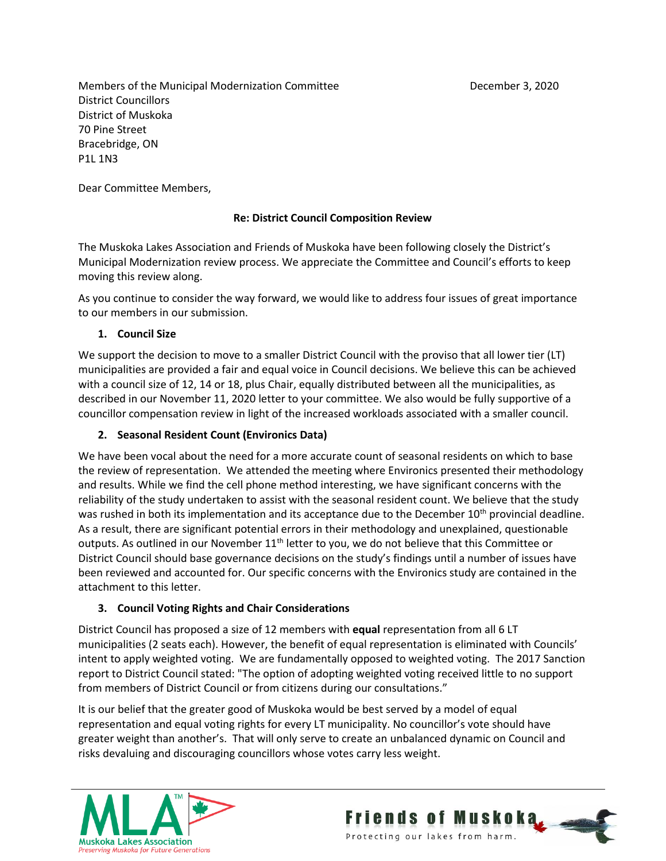Members of the Municipal Modernization Committee Theorem 2020 December 3, 2020 District Councillors District of Muskoka 70 Pine Street Bracebridge, ON P1L 1N3

Dear Committee Members,

## **Re: District Council Composition Review**

The Muskoka Lakes Association and Friends of Muskoka have been following closely the District's Municipal Modernization review process. We appreciate the Committee and Council's efforts to keep moving this review along.

As you continue to consider the way forward, we would like to address four issues of great importance to our members in our submission.

#### **1. Council Size**

We support the decision to move to a smaller District Council with the proviso that all lower tier (LT) municipalities are provided a fair and equal voice in Council decisions. We believe this can be achieved with a council size of 12, 14 or 18, plus Chair, equally distributed between all the municipalities, as described in our November 11, 2020 letter to your committee. We also would be fully supportive of a councillor compensation review in light of the increased workloads associated with a smaller council.

#### **2. Seasonal Resident Count (Environics Data)**

We have been vocal about the need for a more accurate count of seasonal residents on which to base the review of representation. We attended the meeting where Environics presented their methodology and results. While we find the cell phone method interesting, we have significant concerns with the reliability of the study undertaken to assist with the seasonal resident count. We believe that the study was rushed in both its implementation and its acceptance due to the December 10<sup>th</sup> provincial deadline. As a result, there are significant potential errors in their methodology and unexplained, questionable outputs. As outlined in our November  $11<sup>th</sup>$  letter to you, we do not believe that this Committee or District Council should base governance decisions on the study's findings until a number of issues have been reviewed and accounted for. Our specific concerns with the Environics study are contained in the attachment to this letter.

## **3. Council Voting Rights and Chair Considerations**

District Council has proposed a size of 12 members with **equal** representation from all 6 LT municipalities (2 seats each). However, the benefit of equal representation is eliminated with Councils' intent to apply weighted voting. We are fundamentally opposed to weighted voting. The 2017 Sanction report to District Council stated: "The option of adopting weighted voting received little to no support from members of District Council or from citizens during our consultations."

It is our belief that the greater good of Muskoka would be best served by a model of equal representation and equal voting rights for every LT municipality. No councillor's vote should have greater weight than another's. That will only serve to create an unbalanced dynamic on Council and risks devaluing and discouraging councillors whose votes carry less weight.



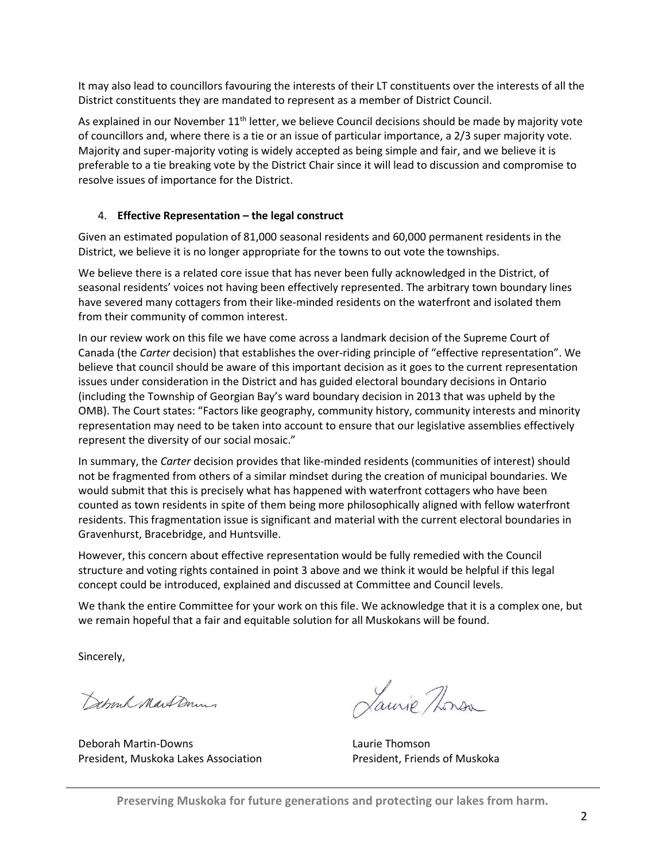It may also lead to councillors favouring the interests of their LT constituents over the interests of all the District constituents they are mandated to represent as a member of District Council.

As explained in our November  $11<sup>th</sup>$  letter, we believe Council decisions should be made by majority vote of councillors and, where there is a tie or an issue of particular importance, a 2/3 super majority vote. Majority and super-majority voting is widely accepted as being simple and fair, and we believe it is preferable to a tie breaking vote by the District Chair since it will lead to discussion and compromise to resolve issues of importance for the District.

#### 4. **Effective Representation – the legal construct**

Given an estimated population of 81,000 seasonal residents and 60,000 permanent residents in the District, we believe it is no longer appropriate for the towns to out vote the townships.

We believe there is a related core issue that has never been fully acknowledged in the District, of seasonal residents' voices not having been effectively represented. The arbitrary town boundary lines have severed many cottagers from their like-minded residents on the waterfront and isolated them from their community of common interest.

In our review work on this file we have come across a landmark decision of the Supreme Court of Canada (the *Carter* decision) that establishes the over-riding principle of "effective representation". We believe that council should be aware of this important decision as it goes to the current representation issues under consideration in the District and has guided electoral boundary decisions in Ontario (including the Township of Georgian Bay's ward boundary decision in 2013 that was upheld by the OMB). The Court states: "Factors like geography, community history, community interests and minority representation may need to be taken into account to ensure that our legislative assemblies effectively represent the diversity of our social mosaic."

In summary, the *Carter* decision provides that like-minded residents (communities of interest) should not be fragmented from others of a similar mindset during the creation of municipal boundaries. We would submit that this is precisely what has happened with waterfront cottagers who have been counted as town residents in spite of them being more philosophically aligned with fellow waterfront residents. This fragmentation issue is significant and material with the current electoral boundaries in Gravenhurst, Bracebridge, and Huntsville.

However, this concern about effective representation would be fully remedied with the Council structure and voting rights contained in point 3 above and we think it would be helpful if this legal concept could be introduced, explained and discussed at Committee and Council levels.

We thank the entire Committee for your work on this file. We acknowledge that it is a complex one, but we remain hopeful that a fair and equitable solution for all Muskokans will be found.

Sincerely,

Debrank Mart Down

Deborah Martin-Downs Laurie Thomson President, Muskoka Lakes Association **President, President, Priends of Muskoka** 

Laurie Thorsa